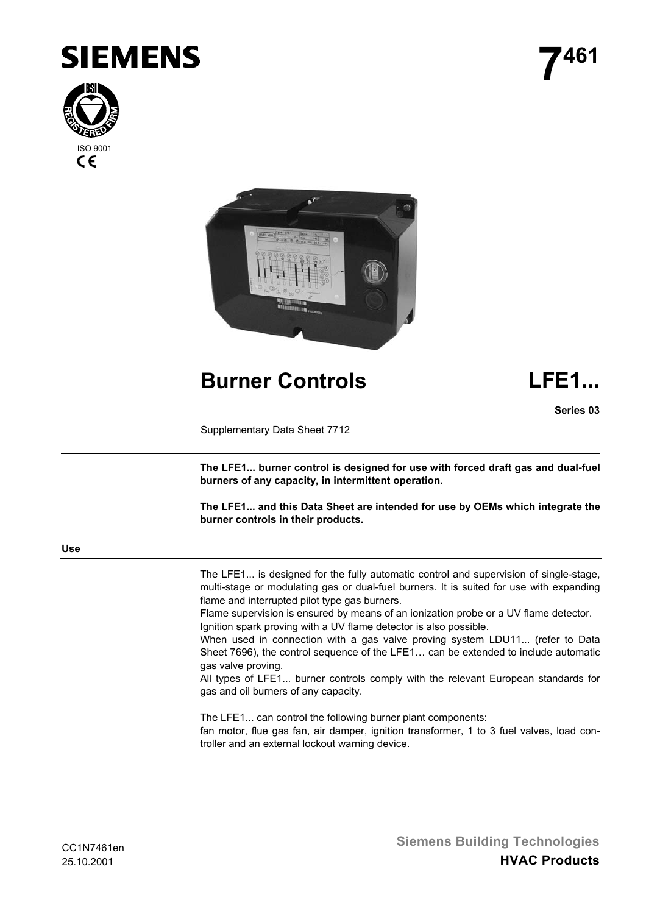





**Burner Controls LFE1...**

**Series 03**

Supplementary Data Sheet 7712

**The LFE1... burner control is designed for use with forced draft gas and dual-fuel burners of any capacity, in intermittent operation.**

**The LFE1... and this Data Sheet are intended for use by OEMs which integrate the burner controls in their products.**

**Use**

The LFE1... is designed for the fully automatic control and supervision of single-stage, multi-stage or modulating gas or dual-fuel burners. It is suited for use with expanding flame and interrupted pilot type gas burners.

Flame supervision is ensured by means of an ionization probe or a UV flame detector. Ignition spark proving with a UV flame detector is also possible.

When used in connection with a gas valve proving system LDU11... (refer to Data Sheet 7696), the control sequence of the LFE1… can be extended to include automatic gas valve proving.

All types of LFE1... burner controls comply with the relevant European standards for gas and oil burners of any capacity.

The LFE1... can control the following burner plant components: fan motor, flue gas fan, air damper, ignition transformer, 1 to 3 fuel valves, load controller and an external lockout warning device.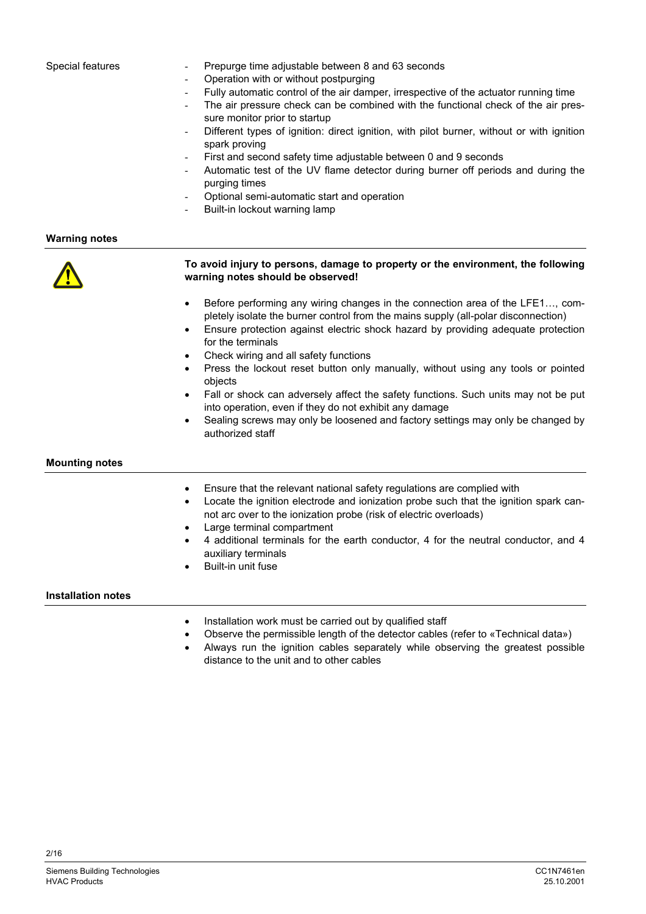#### Special features

- Prepurge time adjustable between 8 and 63 seconds
- Operation with or without postpurging
- Fully automatic control of the air damper, irrespective of the actuator running time
- The air pressure check can be combined with the functional check of the air pressure monitor prior to startup
- Different types of ignition: direct ignition, with pilot burner, without or with ignition spark proving
- First and second safety time adjustable between 0 and 9 seconds
- Automatic test of the UV flame detector during burner off periods and during the purging times
- Optional semi-automatic start and operation
- Built-in lockout warning lamp

**Warning notes**



## **To avoid injury to persons, damage to property or the environment, the following warning notes should be observed!**

- Before performing any wiring changes in the connection area of the LFE1…, completely isolate the burner control from the mains supply (all-polar disconnection)
- Ensure protection against electric shock hazard by providing adequate protection for the terminals
- Check wiring and all safety functions
- Press the lockout reset button only manually, without using any tools or pointed objects
- Fall or shock can adversely affect the safety functions. Such units may not be put into operation, even if they do not exhibit any damage
- Sealing screws may only be loosened and factory settings may only be changed by authorized staff

## **Mounting notes**

- Ensure that the relevant national safety regulations are complied with
- Locate the ignition electrode and ionization probe such that the ignition spark cannot arc over to the ionization probe (risk of electric overloads)
- Large terminal compartment
- 4 additional terminals for the earth conductor, 4 for the neutral conductor, and 4 auxiliary terminals
- Built-in unit fuse

**Installation notes**

- Installation work must be carried out by qualified staff
- Observe the permissible length of the detector cables (refer to «Technical data»)
- Always run the ignition cables separately while observing the greatest possible distance to the unit and to other cables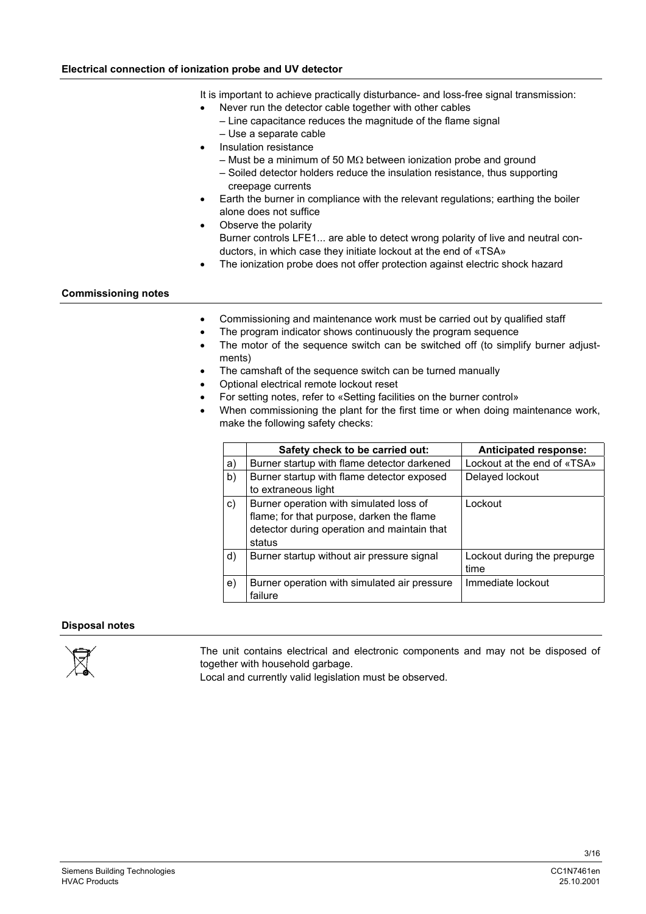# **Electrical connection of ionization probe and UV detector**

It is important to achieve practically disturbance- and loss-free signal transmission:

- Never run the detector cable together with other cables
- Line capacitance reduces the magnitude of the flame signal
- Use a separate cable
- Insulation resistance
	- Must be a minimum of 50 MΩ between ionization probe and ground
	- Soiled detector holders reduce the insulation resistance, thus supporting creepage currents
- Earth the burner in compliance with the relevant regulations; earthing the boiler alone does not suffice
- Observe the polarity Burner controls LFE1... are able to detect wrong polarity of live and neutral conductors, in which case they initiate lockout at the end of «TSA»
- The ionization probe does not offer protection against electric shock hazard

# **Commissioning notes**

- Commissioning and maintenance work must be carried out by qualified staff
- The program indicator shows continuously the program sequence
- The motor of the sequence switch can be switched off (to simplify burner adjustments)
- The camshaft of the sequence switch can be turned manually
- Optional electrical remote lockout reset
- For setting notes, refer to «Setting facilities on the burner control»
- When commissioning the plant for the first time or when doing maintenance work, make the following safety checks:

|    | Safety check to be carried out:                                                                                                               | <b>Anticipated response:</b>        |
|----|-----------------------------------------------------------------------------------------------------------------------------------------------|-------------------------------------|
| a) | Burner startup with flame detector darkened                                                                                                   | Lockout at the end of «TSA»         |
| b) | Burner startup with flame detector exposed<br>to extraneous light                                                                             | Delayed lockout                     |
| c) | Burner operation with simulated loss of<br>flame; for that purpose, darken the flame<br>detector during operation and maintain that<br>status | Lockout                             |
| d) | Burner startup without air pressure signal                                                                                                    | Lockout during the prepurge<br>time |
| e) | Burner operation with simulated air pressure<br>failure                                                                                       | Immediate lockout                   |

## **Disposal notes**



The unit contains electrical and electronic components and may not be disposed of together with household garbage.

Local and currently valid legislation must be observed.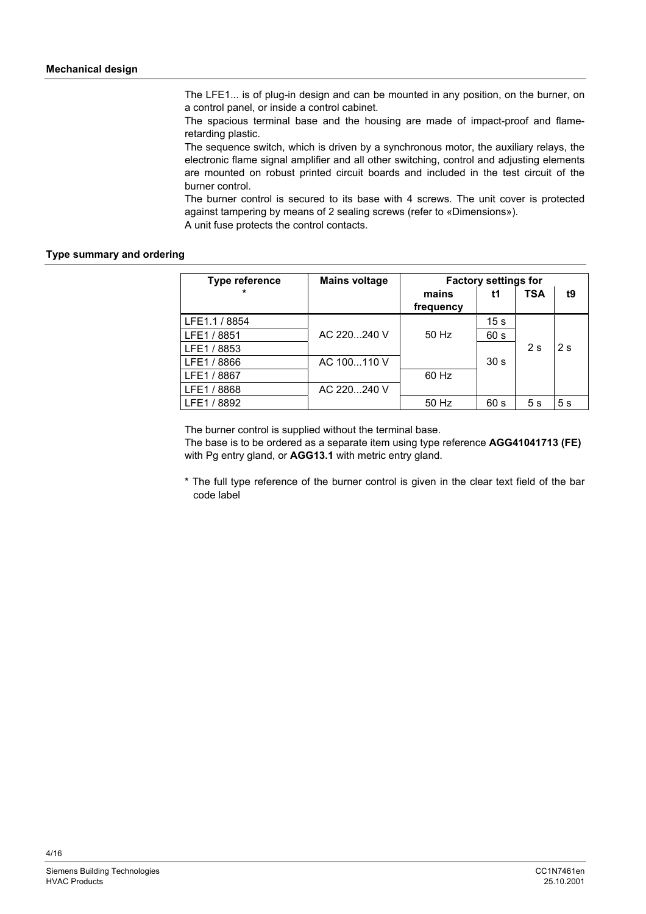The LFE1... is of plug-in design and can be mounted in any position, on the burner, on a control panel, or inside a control cabinet.

The spacious terminal base and the housing are made of impact-proof and flameretarding plastic.

The sequence switch, which is driven by a synchronous motor, the auxiliary relays, the electronic flame signal amplifier and all other switching, control and adjusting elements are mounted on robust printed circuit boards and included in the test circuit of the burner control.

The burner control is secured to its base with 4 screws. The unit cover is protected against tampering by means of 2 sealing screws (refer to «Dimensions»).

A unit fuse protects the control contacts.

# **Type summary and ordering**

| <b>Type reference</b> | <b>Mains voltage</b> | <b>Factory settings for</b> |                 |            |    |
|-----------------------|----------------------|-----------------------------|-----------------|------------|----|
| $\star$               |                      | mains<br>frequency          | t1              | <b>TSA</b> | t9 |
| LFE1.1 / 8854         |                      |                             | 15 s            |            |    |
| LFE1 / 8851           | AC 220240 V          | 50 Hz                       | 60 s            |            |    |
| LFE1 / 8853           |                      |                             |                 | 2s         | 2s |
| LFE1 / 8866           | AC 100110 V          |                             | 30 <sub>s</sub> |            |    |
| LFE1 / 8867           |                      | 60 Hz                       |                 |            |    |
| LFE1 / 8868           | AC 220240 V          |                             |                 |            |    |
| LFE1 / 8892           |                      | 50 Hz                       | 60 s            | 5s         | 5s |

The burner control is supplied without the terminal base.

The base is to be ordered as a separate item using type reference **AGG41041713 (FE)** with Pg entry gland, or **AGG13.1** with metric entry gland.

\* The full type reference of the burner control is given in the clear text field of the bar code label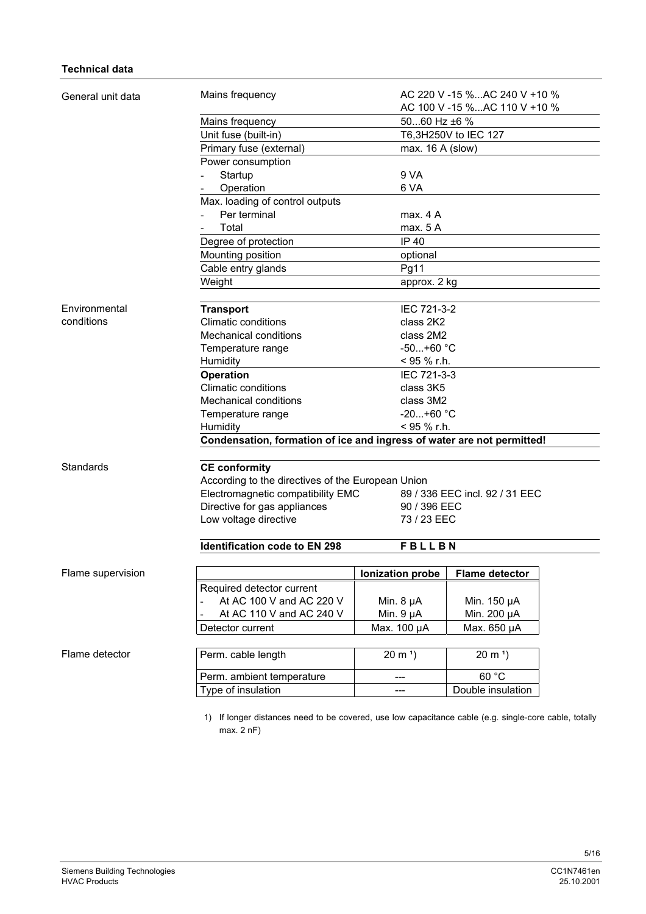# **Technical data**

| General unit data | Mains frequency                                                        |                  | AC 220 V -15 %AC 240 V +10 %<br>AC 100 V -15 %AC 110 V +10 % |  |  |  |
|-------------------|------------------------------------------------------------------------|------------------|--------------------------------------------------------------|--|--|--|
|                   | Mains frequency                                                        | 5060 Hz ±6 %     |                                                              |  |  |  |
|                   | Unit fuse (built-in)                                                   |                  | T6,3H250V to IEC 127                                         |  |  |  |
|                   | Primary fuse (external)                                                | max. 16 A (slow) |                                                              |  |  |  |
|                   | Power consumption                                                      |                  |                                                              |  |  |  |
|                   | Startup                                                                | 9 VA             |                                                              |  |  |  |
|                   | Operation                                                              | 6 VA             |                                                              |  |  |  |
|                   | Max. loading of control outputs                                        |                  |                                                              |  |  |  |
|                   | Per terminal                                                           | max. 4 A         |                                                              |  |  |  |
|                   | Total                                                                  | max. 5 A         |                                                              |  |  |  |
|                   | Degree of protection                                                   | IP 40            |                                                              |  |  |  |
|                   | Mounting position                                                      | optional         |                                                              |  |  |  |
|                   | Cable entry glands                                                     | Pg11             |                                                              |  |  |  |
|                   | Weight                                                                 | approx. 2 kg     |                                                              |  |  |  |
|                   |                                                                        |                  |                                                              |  |  |  |
| Environmental     | <b>Transport</b>                                                       | IEC 721-3-2      |                                                              |  |  |  |
| conditions        | <b>Climatic conditions</b>                                             | class 2K2        |                                                              |  |  |  |
|                   | <b>Mechanical conditions</b>                                           | class 2M2        |                                                              |  |  |  |
|                   | Temperature range                                                      | $-50+60 °C$      |                                                              |  |  |  |
|                   | Humidity                                                               |                  | < 95 % r.h.                                                  |  |  |  |
|                   | <b>Operation</b>                                                       |                  | IEC 721-3-3                                                  |  |  |  |
|                   | <b>Climatic conditions</b>                                             |                  | class 3K5                                                    |  |  |  |
|                   | <b>Mechanical conditions</b>                                           |                  | class 3M2                                                    |  |  |  |
|                   | $-20+60$ °C<br>Temperature range                                       |                  |                                                              |  |  |  |
|                   | < 95 % r.h.<br>Humidity                                                |                  |                                                              |  |  |  |
|                   | Condensation, formation of ice and ingress of water are not permitted! |                  |                                                              |  |  |  |
| Standards         | <b>CE conformity</b>                                                   |                  |                                                              |  |  |  |
|                   | According to the directives of the European Union                      |                  |                                                              |  |  |  |
|                   | Electromagnetic compatibility EMC                                      |                  | 89 / 336 EEC incl. 92 / 31 EEC                               |  |  |  |
|                   | Directive for gas appliances                                           | 90 / 396 EEC     |                                                              |  |  |  |
|                   | Low voltage directive                                                  | 73 / 23 EEC      |                                                              |  |  |  |
|                   | <b>Identification code to EN 298</b>                                   | <b>FBLLBN</b>    |                                                              |  |  |  |
| Flame supervision |                                                                        | Ionization probe | <b>Flame detector</b>                                        |  |  |  |
|                   | Required detector current                                              |                  |                                                              |  |  |  |
|                   | At AC 100 V and AC 220 V                                               | Min. $8 \mu A$   | Min. 150 µA                                                  |  |  |  |
|                   | At AC 110 V and AC 240 V                                               | Min. $9 \mu A$   | Min. 200 µA                                                  |  |  |  |
|                   | Detector current                                                       | Max. 100 µA      | Max. 650 µA                                                  |  |  |  |
|                   |                                                                        |                  |                                                              |  |  |  |
| Flame detector    | Perm. cable length                                                     | $20 \text{ m}^3$ | $20 \text{ m}^1$                                             |  |  |  |
|                   |                                                                        |                  | 60 °C                                                        |  |  |  |
|                   | Perm. ambient temperature                                              | ---              |                                                              |  |  |  |

max. 2 nF)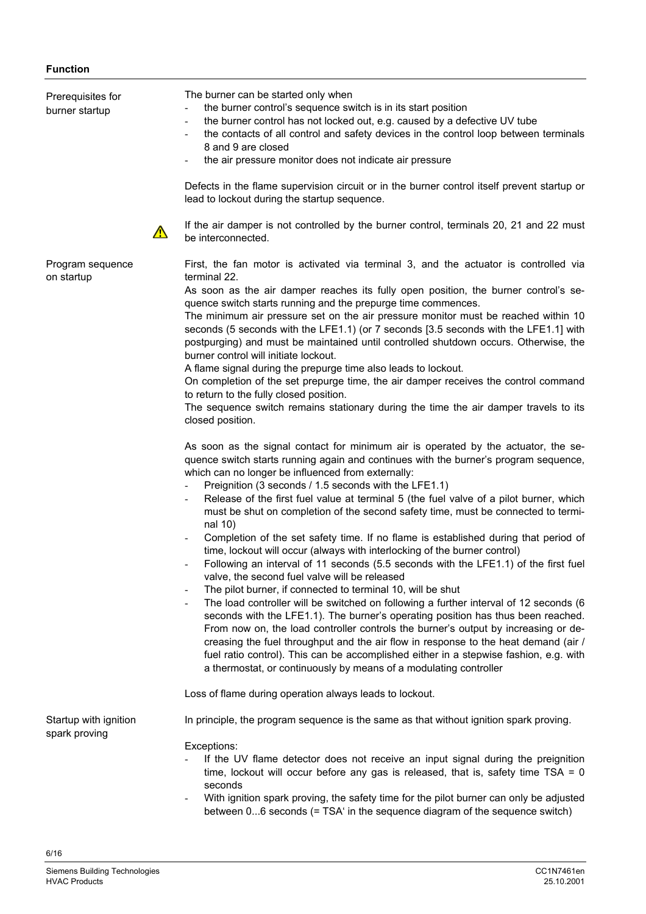# **Function**

| Prerequisites for<br>burner startup    | The burner can be started only when<br>the burner control's sequence switch is in its start position<br>the burner control has not locked out, e.g. caused by a defective UV tube<br>$\overline{\phantom{a}}$<br>the contacts of all control and safety devices in the control loop between terminals<br>8 and 9 are closed<br>the air pressure monitor does not indicate air pressure<br>Defects in the flame supervision circuit or in the burner control itself prevent startup or<br>lead to lockout during the startup sequence.<br>If the air damper is not controlled by the burner control, terminals 20, 21 and 22 must<br>$\Delta$<br>be interconnected.                                                                                                                                                                                                                                                                                                                                                                                                                                                                                                                                                                                                                                                                                                                                                                                                                                                                                                                                                                                                                                                                                                                                                                                                                                                                                                                                                                                                                                                                                                                                                                 |
|----------------------------------------|------------------------------------------------------------------------------------------------------------------------------------------------------------------------------------------------------------------------------------------------------------------------------------------------------------------------------------------------------------------------------------------------------------------------------------------------------------------------------------------------------------------------------------------------------------------------------------------------------------------------------------------------------------------------------------------------------------------------------------------------------------------------------------------------------------------------------------------------------------------------------------------------------------------------------------------------------------------------------------------------------------------------------------------------------------------------------------------------------------------------------------------------------------------------------------------------------------------------------------------------------------------------------------------------------------------------------------------------------------------------------------------------------------------------------------------------------------------------------------------------------------------------------------------------------------------------------------------------------------------------------------------------------------------------------------------------------------------------------------------------------------------------------------------------------------------------------------------------------------------------------------------------------------------------------------------------------------------------------------------------------------------------------------------------------------------------------------------------------------------------------------------------------------------------------------------------------------------------------------|
| Program sequence<br>on startup         | First, the fan motor is activated via terminal 3, and the actuator is controlled via<br>terminal 22.<br>As soon as the air damper reaches its fully open position, the burner control's se-<br>quence switch starts running and the prepurge time commences.<br>The minimum air pressure set on the air pressure monitor must be reached within 10<br>seconds (5 seconds with the LFE1.1) (or 7 seconds [3.5 seconds with the LFE1.1] with<br>postpurging) and must be maintained until controlled shutdown occurs. Otherwise, the<br>burner control will initiate lockout.<br>A flame signal during the prepurge time also leads to lockout.<br>On completion of the set prepurge time, the air damper receives the control command<br>to return to the fully closed position.<br>The sequence switch remains stationary during the time the air damper travels to its<br>closed position.<br>As soon as the signal contact for minimum air is operated by the actuator, the se-<br>quence switch starts running again and continues with the burner's program sequence,<br>which can no longer be influenced from externally:<br>Preignition (3 seconds / 1.5 seconds with the LFE1.1)<br>$\blacksquare$<br>Release of the first fuel value at terminal 5 (the fuel valve of a pilot burner, which<br>must be shut on completion of the second safety time, must be connected to termi-<br>nal 10)<br>Completion of the set safety time. If no flame is established during that period of<br>time, lockout will occur (always with interlocking of the burner control)<br>Following an interval of 11 seconds (5.5 seconds with the LFE1.1) of the first fuel<br>valve, the second fuel valve will be released<br>The pilot burner, if connected to terminal 10, will be shut<br>The load controller will be switched on following a further interval of 12 seconds (6<br>seconds with the LFE1.1). The burner's operating position has thus been reached.<br>From now on, the load controller controls the burner's output by increasing or de-<br>creasing the fuel throughput and the air flow in response to the heat demand (air /<br>fuel ratio control). This can be accomplished either in a stepwise fashion, e.g. with |
|                                        | a thermostat, or continuously by means of a modulating controller<br>Loss of flame during operation always leads to lockout.                                                                                                                                                                                                                                                                                                                                                                                                                                                                                                                                                                                                                                                                                                                                                                                                                                                                                                                                                                                                                                                                                                                                                                                                                                                                                                                                                                                                                                                                                                                                                                                                                                                                                                                                                                                                                                                                                                                                                                                                                                                                                                       |
| Startup with ignition<br>spark proving | In principle, the program sequence is the same as that without ignition spark proving.<br>Exceptions:<br>If the UV flame detector does not receive an input signal during the preignition<br>time, lockout will occur before any gas is released, that is, safety time $TSA = 0$<br>seconds<br>With ignition spark proving, the safety time for the pilot burner can only be adjusted<br>between 06 seconds (= TSA' in the sequence diagram of the sequence switch)                                                                                                                                                                                                                                                                                                                                                                                                                                                                                                                                                                                                                                                                                                                                                                                                                                                                                                                                                                                                                                                                                                                                                                                                                                                                                                                                                                                                                                                                                                                                                                                                                                                                                                                                                                |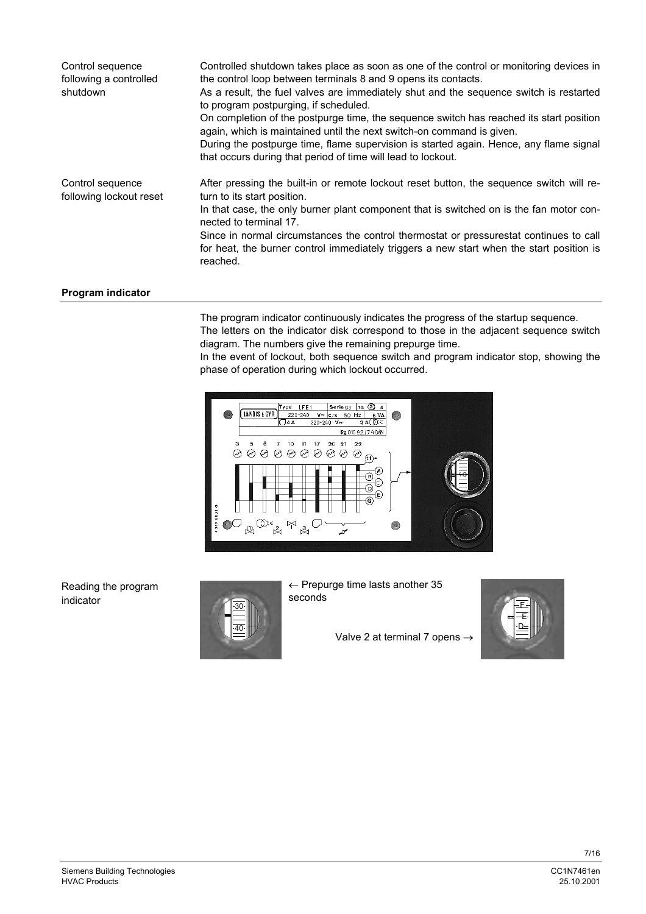| Control sequence<br>following a controlled<br>shutdown | Controlled shutdown takes place as soon as one of the control or monitoring devices in<br>the control loop between terminals 8 and 9 opens its contacts.<br>As a result, the fuel valves are immediately shut and the sequence switch is restarted<br>to program postpurging, if scheduled.<br>On completion of the postpurge time, the sequence switch has reached its start position<br>again, which is maintained until the next switch-on command is given.<br>During the postpurge time, flame supervision is started again. Hence, any flame signal<br>that occurs during that period of time will lead to lockout. |
|--------------------------------------------------------|---------------------------------------------------------------------------------------------------------------------------------------------------------------------------------------------------------------------------------------------------------------------------------------------------------------------------------------------------------------------------------------------------------------------------------------------------------------------------------------------------------------------------------------------------------------------------------------------------------------------------|
| Control sequence<br>following lockout reset            | After pressing the built-in or remote lockout reset button, the sequence switch will re-<br>turn to its start position.<br>In that case, the only burner plant component that is switched on is the fan motor con-<br>nected to terminal 17.<br>Since in normal circumstances the control thermostat or pressurestat continues to call<br>for heat, the burner control immediately triggers a new start when the start position is<br>reached.                                                                                                                                                                            |

# **Program indicator**

The program indicator continuously indicates the progress of the startup sequence. The letters on the indicator disk correspond to those in the adjacent sequence switch diagram. The numbers give the remaining prepurge time.

In the event of lockout, both sequence switch and program indicator stop, showing the phase of operation during which lockout occurred.



Reading the program indicator



← Prepurge time lasts another 35 seconds

Valve 2 at terminal 7 opens  $\rightarrow$ 

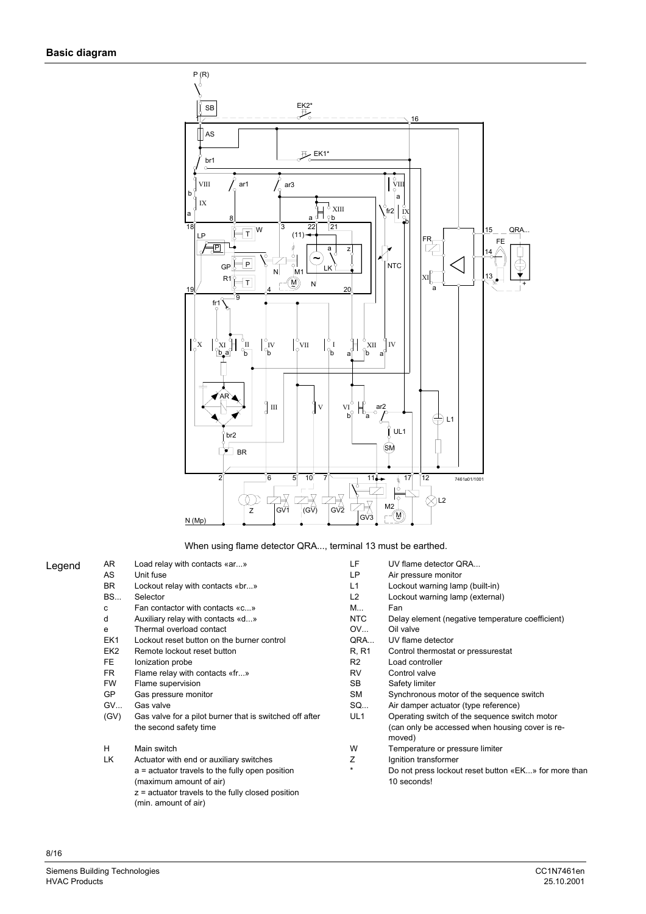

When using flame detector QRA..., terminal 13 must be earthed.

| Legend | AR              | Load relay with contacts «ar»                                              | LF              | UV flame detector QRA                                               |
|--------|-----------------|----------------------------------------------------------------------------|-----------------|---------------------------------------------------------------------|
|        | AS              | Unit fuse                                                                  | LP              | Air pressure monitor                                                |
|        | BR.             | Lockout relay with contacts «br»                                           | L1              | Lockout warning lamp (built-in)                                     |
|        | <b>BS</b>       | Selector                                                                   | L <sub>2</sub>  | Lockout warning lamp (external)                                     |
|        | с               | Fan contactor with contacts «c»                                            | M               | Fan                                                                 |
|        | d               | Auxiliary relay with contacts «d»                                          | <b>NTC</b>      | Delay element (negative temperature coefficient)                    |
|        | e               | Thermal overload contact                                                   | OV              | Oil valve                                                           |
|        | EK1             | Lockout reset button on the burner control                                 | QRA             | UV flame detector                                                   |
|        | EK <sub>2</sub> | Remote lockout reset button                                                | R, R1           | Control thermostat or pressurestat                                  |
|        | FE              | lonization probe                                                           | R <sub>2</sub>  | Load controller                                                     |
|        | FR.             | Flame relay with contacts «fr»                                             | RV              | Control valve                                                       |
|        | <b>FW</b>       | Flame supervision                                                          | <b>SB</b>       | Safety limiter                                                      |
|        | <b>GP</b>       | Gas pressure monitor                                                       | SM              | Synchronous motor of the sequence switch                            |
|        | GV              | Gas valve                                                                  | SQ              | Air damper actuator (type reference)                                |
|        | (GV)            | Gas valve for a pilot burner that is switched off after                    | UL <sub>1</sub> | Operating switch of the sequence switch motor                       |
|        |                 | the second safety time                                                     |                 | (can only be accessed when housing cover is re-<br>moved)           |
|        | H               | Main switch                                                                | W               | Temperature or pressure limiter                                     |
|        | LK              | Actuator with end or auxiliary switches                                    | Ζ               | Ignition transformer                                                |
|        |                 | a = actuator travels to the fully open position<br>(maximum amount of air) | $\star$         | Do not press lockout reset button «EK» for more than<br>10 seconds! |
|        |                 | $z$ = actuator travels to the fully closed position                        |                 |                                                                     |

(min. amount of air)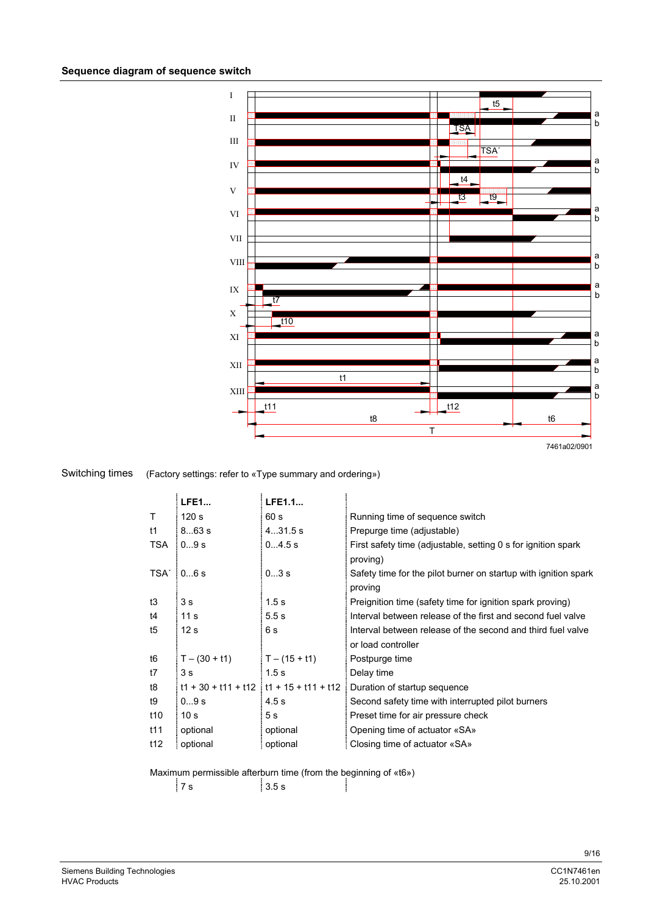

#### (Factory settings: refer to «Type summary and ordering») Switching times

|            | <b>LFE1</b>      | LFE1.1                                      |                                                                            |
|------------|------------------|---------------------------------------------|----------------------------------------------------------------------------|
| т          | 120 <sub>s</sub> | 60 s                                        | Running time of sequence switch                                            |
| t1         | 863 s            | 431.5 s                                     | Prepurge time (adjustable)                                                 |
| <b>TSA</b> | 09s              | 04.5 s                                      | First safety time (adjustable, setting 0 s for ignition spark)<br>proving) |
|            | $TSA'$ 06 s      | 03s                                         | Safety time for the pilot burner on startup with ignition spark<br>proving |
| t3         | 3 <sub>s</sub>   | 1.5s                                        | Preignition time (safety time for ignition spark proving)                  |
| t4         | 11 <sub>s</sub>  | 5.5s                                        | Interval between release of the first and second fuel valve                |
| t5         | 12 <sub>s</sub>  | 6s                                          | Interval between release of the second and third fuel valve                |
|            |                  |                                             | or load controller                                                         |
| t6         | $T - (30 + t1)$  | $T - (15 + t1)$                             | Postpurge time                                                             |
| t7         | 3s               | 1.5s                                        | Delay time                                                                 |
| t8         |                  | $t1 + 30 + t11 + t12$ $t1 + 15 + t11 + t12$ | Duration of startup sequence                                               |
| t9         | 09s              | 4.5s                                        | Second safety time with interrupted pilot burners                          |
| t10        | 10 <sub>s</sub>  | 5 s                                         | Preset time for air pressure check                                         |
| t11        | optional         | optional                                    | Opening time of actuator «SA»                                              |
| t12        | optional         | optional                                    | Closing time of actuator «SA»                                              |

Maximum permissible afterburn time (from the beginning of «t6»)

 $7 s$  3.5 s

1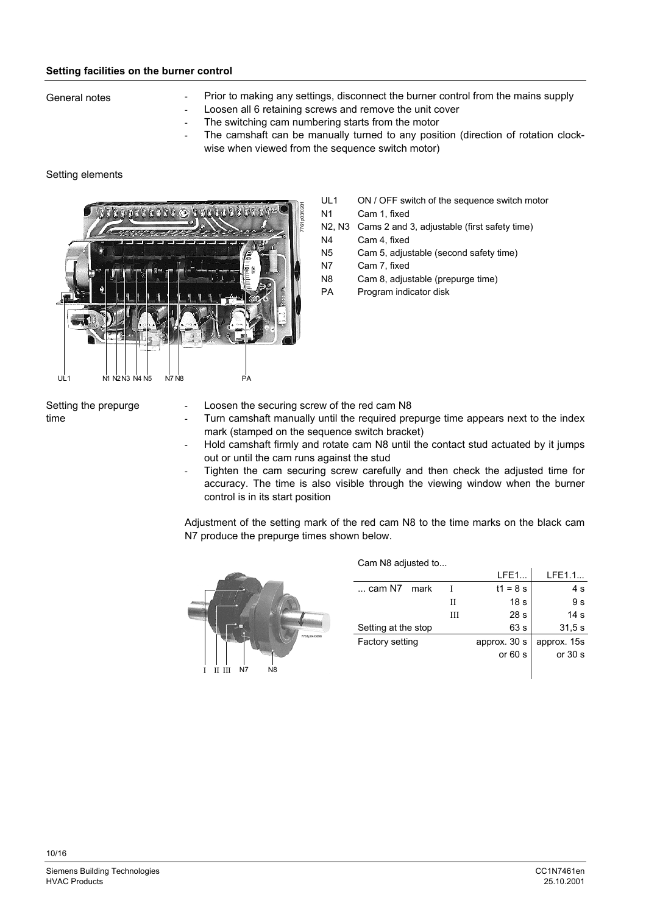# **Setting facilities on the burner control**

General notes

- Prior to making any settings, disconnect the burner control from the mains supply
- Loosen all 6 retaining screws and remove the unit cover
- The switching cam numbering starts from the motor
- The camshaft can be manually turned to any position (direction of rotation clockwise when viewed from the sequence switch motor)

# Setting elements



- UL1 ON / OFF switch of the sequence switch motor
- N1 Cam 1, fixed
- N2, N3 Cams 2 and 3, adjustable (first safety time)
- N4 Cam 4, fixed
- N5 Cam 5, adjustable (second safety time)
- N7 Cam 7, fixed
- N8 Cam 8, adjustable (prepurge time)
- PA Program indicator disk

Setting the prepurge time

- Loosen the securing screw of the red cam N8
- Turn camshaft manually until the required prepurge time appears next to the index mark (stamped on the sequence switch bracket)
- Hold camshaft firmly and rotate cam N8 until the contact stud actuated by it jumps out or until the cam runs against the stud
- Tighten the cam securing screw carefully and then check the adjusted time for accuracy. The time is also visible through the viewing window when the burner control is in its start position

Adjustment of the setting mark of the red cam N8 to the time marks on the black cam N7 produce the prepurge times shown below.

Cam N8 adjusted to...



|                     |   | LFE1            | LFE1.1          |
|---------------------|---|-----------------|-----------------|
| cam N7<br>mark      |   | $t1 = 8$ s      | 4 s             |
|                     | П | 18 <sub>s</sub> | 9 s             |
|                     | Ш | 28 <sub>s</sub> | 14 <sub>s</sub> |
| Setting at the stop |   | 63 s            | 31.5 s          |
| Factory setting     |   | approx. 30 s    | approx. 15s     |
|                     |   | or $60 s$       | or 30 s         |
|                     |   |                 |                 |
|                     |   |                 |                 |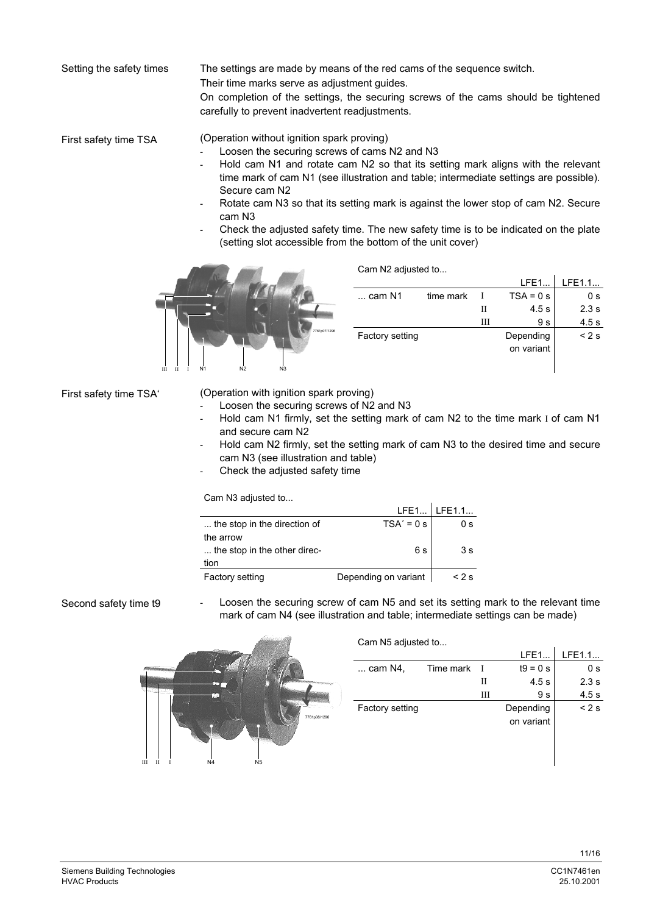The settings are made by means of the red cams of the sequence switch. Setting the safety times

Their time marks serve as adjustment guides.

On completion of the settings, the securing screws of the cams should be tightened carefully to prevent inadvertent readjustments.

(Operation without ignition spark proving) First safety time TSA

- Loosen the securing screws of cams N2 and N3
- Hold cam N1 and rotate cam N2 so that its setting mark aligns with the relevant time mark of cam N1 (see illustration and table; intermediate settings are possible). Secure cam N2
- Rotate cam N3 so that its setting mark is against the lower stop of cam N2. Secure cam N3
- Check the adjusted safety time. The new safety time is to be indicated on the plate (setting slot accessible from the bottom of the unit cover)



| Cam N2 adjusted to |  |
|--------------------|--|
|                    |  |

|              |                        |           |   | LFE1       | IFF1.1 |
|--------------|------------------------|-----------|---|------------|--------|
|              | $\ldots$ cam N1        | time mark |   | $TSA = 0s$ | 0 s    |
|              |                        |           | П | 4.5s       | 2.3s   |
|              |                        |           | Ш | 9 s        | 4.5s   |
| 7761p07/1296 | <b>Factory setting</b> |           |   | Depending  | < 2s   |
|              |                        |           |   | on variant |        |
|              |                        |           |   |            |        |

First safety time TSA'

(Operation with ignition spark proving)

- Loosen the securing screws of N2 and N3
- Hold cam N1 firmly, set the setting mark of cam N2 to the time mark I of cam N1 and secure cam N2
- Hold cam N2 firmly, set the setting mark of cam N3 to the desired time and secure cam N3 (see illustration and table)
- Check the adjusted safety time

Cam N3 adjusted to...

|                              |                      | LFE1 LFE1.1 |
|------------------------------|----------------------|-------------|
| the stop in the direction of | $TSA' = 0 s$         | 0 s         |
| the arrow                    |                      |             |
| the stop in the other direc- | 6 s                  | 3 s         |
| tion                         |                      |             |
| <b>Factory setting</b>       | Depending on variant | $< 2$ s     |

Second safety time t9

Loosen the securing screw of cam N5 and set its setting mark to the relevant time mark of cam N4 (see illustration and table; intermediate settings can be made)

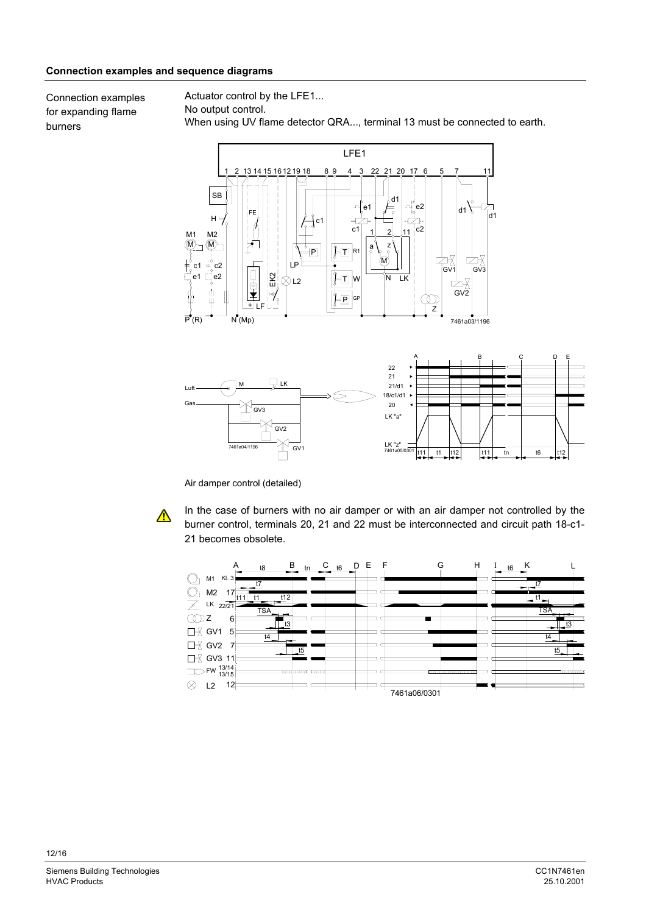# **Connection examples and sequence diagrams**

Connection examples for expanding flame burners

Actuator control by the LFE1... No output control. When using UV flame detector QRA..., terminal 13 must be connected to earth.



Air damper control (detailed)

 $\triangle$ 

In the case of burners with no air damper or with an air damper not controlled by the burner control, terminals 20, 21 and 22 must be interconnected and circuit path 18-c1- 21 becomes obsolete.

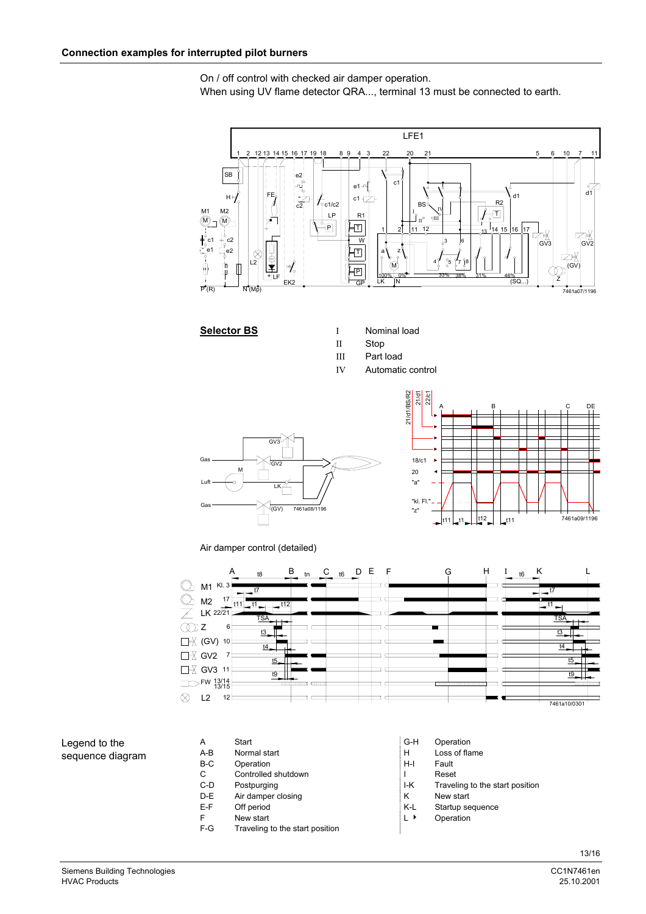On / off control with checked air damper operation. When using UV flame detector QRA..., terminal 13 must be connected to earth.



- **Selector BS** I Nominal load
	- II Stop
	- III Part load
	- IV Automatic control





Air damper control (detailed)



# Legend to the sequence diagram

- A Start G-H Operation<br>
A-B Normal start G-H Loss of fla A-B Normal start **H** Loss of flame B-C Operation **H-I** Fault C Controlled shutdown **I** Reset
- 
- D-E Air damper closing K New start
- 
- F New start **LA** Operation
- F-G Traveling to the start position
- 
- 
- 
- 
- C-D Postpurging **I-K** Traveling to the start position
	-

÷

- E-F Off period **K-L** Startup sequence
	-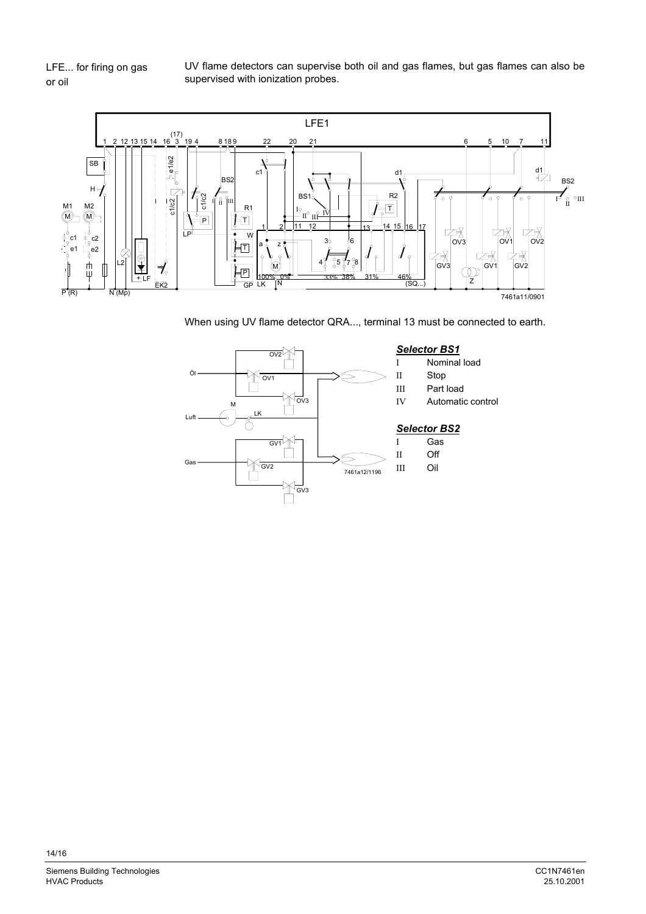LFE... for firing on gas or oil

UV flame detectors can supervise both oil and gas flames, but gas flames can also be supervised with ionization probes.



When using UV flame detector QRA..., terminal 13 must be connected to earth.

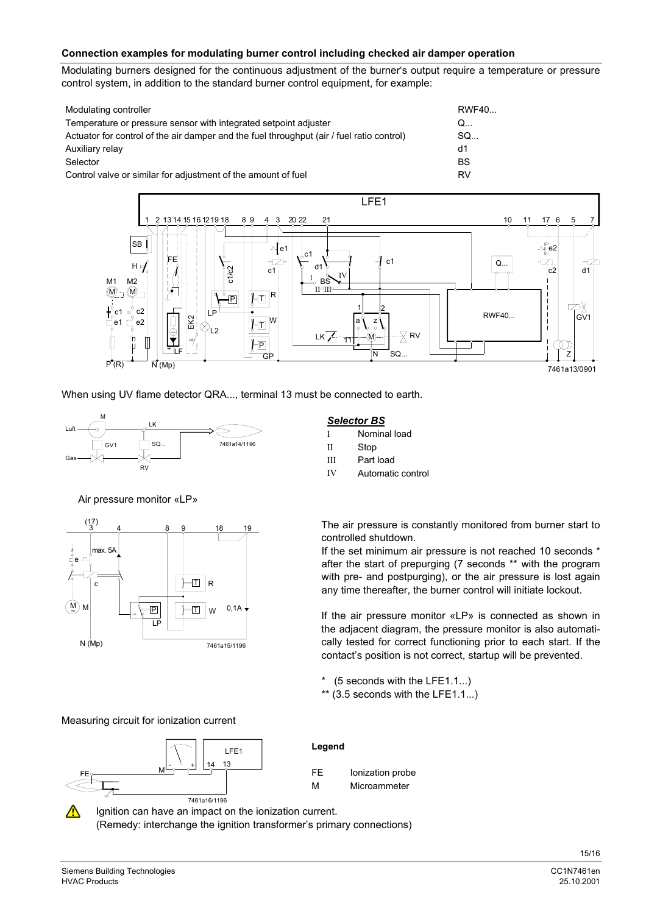# **Connection examples for modulating burner control including checked air damper operation**

Modulating burners designed for the continuous adjustment of the burner's output require a temperature or pressure control system, in addition to the standard burner control equipment, for example:

| Modulating controller                                                                     | RWF40     |
|-------------------------------------------------------------------------------------------|-----------|
| Temperature or pressure sensor with integrated setpoint adjuster                          | Q         |
| Actuator for control of the air damper and the fuel throughput (air / fuel ratio control) | SQ        |
| Auxiliary relay                                                                           | d1        |
| Selector                                                                                  | <b>BS</b> |
| Control valve or similar for adjustment of the amount of fuel                             | RV        |



When using UV flame detector QRA..., terminal 13 must be connected to earth.



Air pressure monitor «LP»



Measuring circuit for ionization current



**Legend**

| FF | Ionization probe |
|----|------------------|
| м  | Microammeter     |

Ignition can have an impact on the ionization current. (Remedy: interchange the ignition transformer's primary connections)

## *Selector BS*

- I Nominal load
- II Stop
- III Part load
- IV Automatic control

The air pressure is constantly monitored from burner start to controlled shutdown.

If the set minimum air pressure is not reached 10 seconds \* after the start of prepurging (7 seconds \*\* with the program with pre- and postpurging), or the air pressure is lost again any time thereafter, the burner control will initiate lockout.

If the air pressure monitor «LP» is connected as shown in the adjacent diagram, the pressure monitor is also automatically tested for correct functioning prior to each start. If the contact's position is not correct, startup will be prevented.

 $*$  (5 seconds with the LFE1.1...)

 $**$  (3.5 seconds with the LFE1.1...)